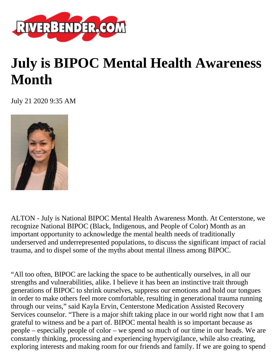

## **July is BIPOC Mental Health Awareness Month**

July 21 2020 9:35 AM



ALTON - July is National BIPOC Mental Health Awareness Month. At Centerstone, we recognize National BIPOC (Black, Indigenous, and People of Color) Month as an important opportunity to acknowledge the mental health needs of traditionally underserved and underrepresented populations, to discuss the significant impact of racial trauma, and to dispel some of the myths about mental illness among BIPOC.

"All too often, BIPOC are lacking the space to be authentically ourselves, in all our strengths and vulnerabilities, alike. I believe it has been an instinctive trait through generations of BIPOC to shrink ourselves, suppress our emotions and hold our tongues in order to make others feel more comfortable, resulting in generational trauma running through our veins," said Kayla Ervin, Centerstone Medication Assisted Recovery Services counselor. "There is a major shift taking place in our world right now that I am grateful to witness and be a part of. BIPOC mental health is so important because as people – especially people of color – we spend so much of our time in our heads. We are constantly thinking, processing and experiencing hypervigilance, while also creating, exploring interests and making room for our friends and family. If we are going to spend